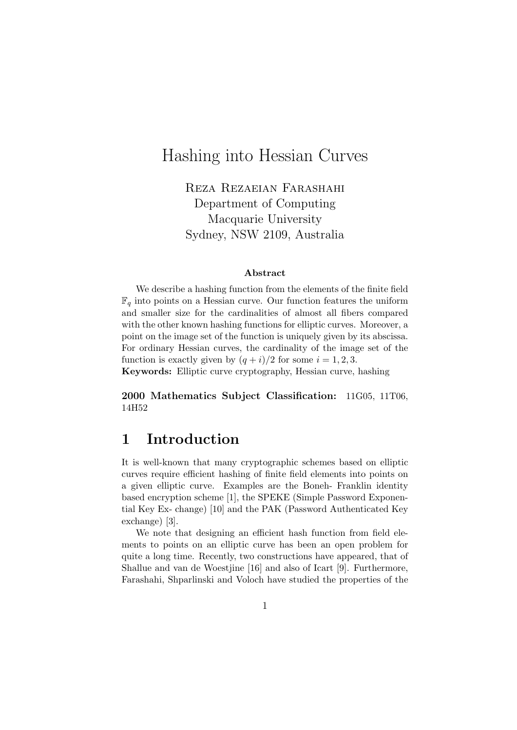# Hashing into Hessian Curves

Reza Rezaeian Farashahi Department of Computing Macquarie University Sydney, NSW 2109, Australia

#### Abstract

We describe a hashing function from the elements of the finite field  $\mathbb{F}_q$  into points on a Hessian curve. Our function features the uniform and smaller size for the cardinalities of almost all fibers compared with the other known hashing functions for elliptic curves. Moreover, a point on the image set of the function is uniquely given by its abscissa. For ordinary Hessian curves, the cardinality of the image set of the function is exactly given by  $(q + i)/2$  for some  $i = 1, 2, 3$ . Keywords: Elliptic curve cryptography, Hessian curve, hashing

2000 Mathematics Subject Classification: 11G05, 11T06, 14H52

### 1 Introduction

It is well-known that many cryptographic schemes based on elliptic curves require efficient hashing of finite field elements into points on a given elliptic curve. Examples are the Boneh- Franklin identity based encryption scheme [1], the SPEKE (Simple Password Exponential Key Ex- change) [10] and the PAK (Password Authenticated Key exchange) [3].

We note that designing an efficient hash function from field elements to points on an elliptic curve has been an open problem for quite a long time. Recently, two constructions have appeared, that of Shallue and van de Woestjine [16] and also of Icart [9]. Furthermore, Farashahi, Shparlinski and Voloch have studied the properties of the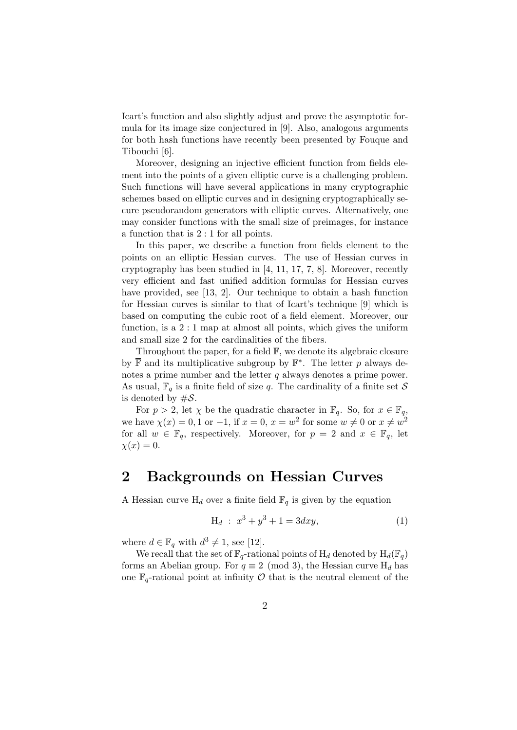Icart's function and also slightly adjust and prove the asymptotic formula for its image size conjectured in [9]. Also, analogous arguments for both hash functions have recently been presented by Fouque and Tibouchi [6].

Moreover, designing an injective efficient function from fields element into the points of a given elliptic curve is a challenging problem. Such functions will have several applications in many cryptographic schemes based on elliptic curves and in designing cryptographically secure pseudorandom generators with elliptic curves. Alternatively, one may consider functions with the small size of preimages, for instance a function that is 2 : 1 for all points.

In this paper, we describe a function from fields element to the points on an elliptic Hessian curves. The use of Hessian curves in cryptography has been studied in [4, 11, 17, 7, 8]. Moreover, recently very efficient and fast unified addition formulas for Hessian curves have provided, see [13, 2]. Our technique to obtain a hash function for Hessian curves is similar to that of Icart's technique [9] which is based on computing the cubic root of a field element. Moreover, our function, is a 2 : 1 map at almost all points, which gives the uniform and small size 2 for the cardinalities of the fibers.

Throughout the paper, for a field  $\mathbb{F}$ , we denote its algebraic closure by  $\overline{\mathbb{F}}$  and its multiplicative subgroup by  $\mathbb{F}^*$ . The letter p always denotes a prime number and the letter  $q$  always denotes a prime power. As usual,  $\mathbb{F}_q$  is a finite field of size q. The cardinality of a finite set S is denoted by  $\#\mathcal{S}$ .

For  $p > 2$ , let  $\chi$  be the quadratic character in  $\mathbb{F}_q$ . So, for  $x \in \mathbb{F}_q$ , we have  $\chi(x) = 0, 1$  or  $-1$ , if  $x = 0, x = w^2$  for some  $w \neq 0$  or  $x \neq w^2$ for all  $w \in \mathbb{F}_q$ , respectively. Moreover, for  $p = 2$  and  $x \in \mathbb{F}_q$ , let  $\chi(x) = 0.$ 

## 2 Backgrounds on Hessian Curves

A Hessian curve  $H_d$  over a finite field  $\mathbb{F}_q$  is given by the equation

$$
H_d : x^3 + y^3 + 1 = 3dxy,
$$
 (1)

where  $d \in \mathbb{F}_q$  with  $d^3 \neq 1$ , see [12].

We recall that the set of  $\mathbb{F}_q$ -rational points of  $H_d$  denoted by  $H_d(\mathbb{F}_q)$ forms an Abelian group. For  $q \equiv 2 \pmod{3}$ , the Hessian curve  $H_d$  has one  $\mathbb{F}_q$ -rational point at infinity  $\mathcal O$  that is the neutral element of the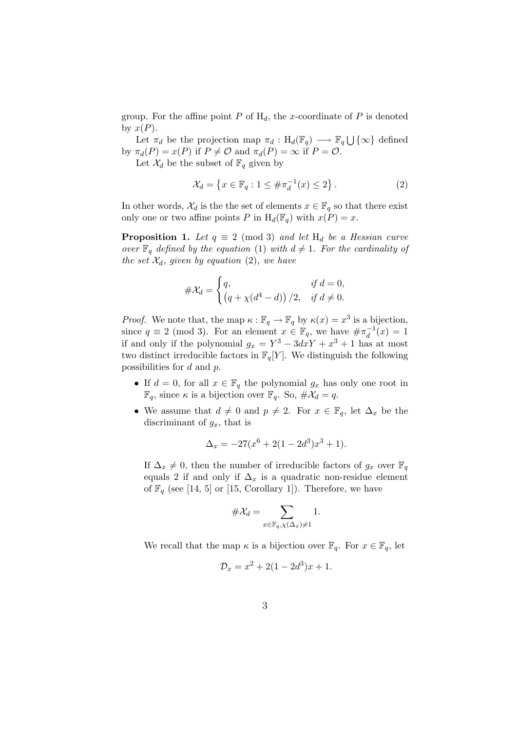group. For the affine point P of  $H_d$ , the x-coordinate of P is denoted by  $x(P)$ .

Let  $\pi_d$  be the projection map  $\pi_d : H_d(\mathbb{F}_q) \longrightarrow \mathbb{F}_q \bigcup {\infty}$  defined by  $\pi_d(P) = x(P)$  if  $P \neq \mathcal{O}$  and  $\pi_d(P) = \infty$  if  $P = \mathcal{O}$ .

Let  $\mathcal{X}_d$  be the subset of  $\mathbb{F}_q$  given by

$$
\mathcal{X}_d = \left\{ x \in \mathbb{F}_q : 1 \le \# \pi_d^{-1}(x) \le 2 \right\}. \tag{2}
$$

In other words,  $\mathcal{X}_d$  is the the set of elements  $x \in \mathbb{F}_q$  so that there exist only one or two affine points P in  $H_d(\mathbb{F}_q)$  with  $x(P) = x$ .

**Proposition 1.** Let  $q \equiv 2 \pmod{3}$  and let  $H_d$  be a Hessian curve over  $\mathbb{F}_q$  defined by the equation (1) with  $d \neq 1$ . For the cardinality of the set  $\mathcal{X}_d$ , given by equation (2), we have

$$
\#\mathcal{X}_d = \begin{cases} q, & \text{if } d = 0, \\ \left( q + \chi(d^4 - d) \right) / 2, & \text{if } d \neq 0. \end{cases}
$$

*Proof.* We note that, the map  $\kappa : \mathbb{F}_q \to \mathbb{F}_q$  by  $\kappa(x) = x^3$  is a bijection, since  $q \equiv 2 \pmod{3}$ . For an element  $x \in \mathbb{F}_q$ , we have  $\#\pi_d^{-1}$  $\frac{1}{d}(x) = 1$ if and only if the polynomial  $g_x = Y^3 - 3dxY + x^3 + 1$  has at most two distinct irreducible factors in  $\mathbb{F}_q[Y]$ . We distinguish the following possibilities for d and p.

- If  $d = 0$ , for all  $x \in \mathbb{F}_q$  the polynomial  $g_x$  has only one root in  $\mathbb{F}_q$ , since  $\kappa$  is a bijection over  $\mathbb{F}_q$ . So,  $\#\mathcal{X}_d=q$ .
- We assume that  $d \neq 0$  and  $p \neq 2$ . For  $x \in \mathbb{F}_q$ , let  $\Delta_x$  be the discriminant of  $g_x$ , that is

$$
\Delta_x = -27(x^6 + 2(1 - 2d^3)x^3 + 1).
$$

If  $\Delta_x \neq 0$ , then the number of irreducible factors of  $g_x$  over  $\mathbb{F}_q$ equals 2 if and only if  $\Delta_x$  is a quadratic non-residue element of  $\mathbb{F}_q$  (see [14, 5] or [15, Corollary 1]). Therefore, we have

$$
\#\mathcal{X}_d = \sum_{x \in \mathbb{F}_q, \chi(\Delta_x) \neq 1} 1.
$$

We recall that the map  $\kappa$  is a bijection over  $\mathbb{F}_q$ . For  $x \in \mathbb{F}_q$ , let

$$
\mathcal{D}_x = x^2 + 2(1 - 2d^3)x + 1.
$$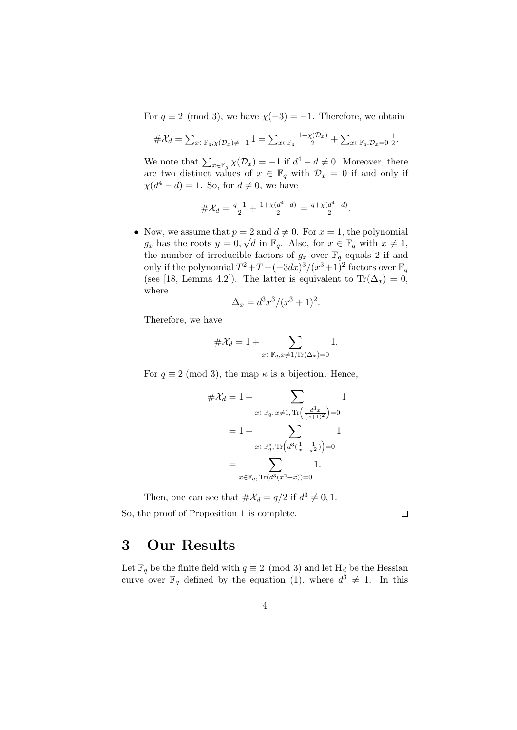For  $q \equiv 2 \pmod{3}$ , we have  $\chi(-3) = -1$ . Therefore, we obtain

$$
\#\mathcal{X}_d = \sum_{x \in \mathbb{F}_q, \chi(\mathcal{D}_x) \neq -1} 1 = \sum_{x \in \mathbb{F}_q} \frac{1 + \chi(\mathcal{D}_x)}{2} + \sum_{x \in \mathbb{F}_q, \mathcal{D}_x = 0} \frac{1}{2}.
$$

We note that  $\sum_{x \in \mathbb{F}_q} \chi(\mathcal{D}_x) = -1$  if  $d^4 - d \neq 0$ . Moreover, there are two distinct values of  $x \in \mathbb{F}_q$  with  $\mathcal{D}_x = 0$  if and only if  $\chi(d^4 - d) = 1$ . So, for  $d \neq 0$ , we have

$$
\#\mathcal{X}_d = \frac{q-1}{2} + \frac{1+\chi(d^4-d)}{2} = \frac{q+\chi(d^4-d)}{2}.
$$

• Now, we assume that  $p = 2$  and  $d \neq 0$ . For  $x = 1$ , the polynomial  $g_x$  has the roots  $y = 0, \sqrt{d}$  in  $\mathbb{F}_q$ . Also, for  $x \in \mathbb{F}_q$  with  $x \neq 1$ , the number of irreducible factors of  $g_x$  over  $\mathbb{F}_q$  equals 2 if and only if the polynomial  $T^2 + T + (-3dx)^3/(x^3+1)^2$  factors over  $\mathbb{F}_q$ (see [18, Lemma 4.2]). The latter is equivalent to  $\text{Tr}(\Delta_x) = 0$ , where

$$
\Delta_x = d^3x^3/(x^3+1)^2.
$$

Therefore, we have

$$
\#\mathcal{X}_d = 1 + \sum_{x \in \mathbb{F}_q, x \neq 1, \text{Tr}(\Delta_x) = 0} 1.
$$

For  $q \equiv 2 \pmod{3}$ , the map  $\kappa$  is a bijection. Hence,

$$
\#\mathcal{X}_d = 1 + \sum_{x \in \mathbb{F}_q, x \neq 1, \text{Tr}\left(\frac{d^3x}{(x+1)^2}\right) = 0}
$$

$$
= 1 + \sum_{x \in \mathbb{F}_q^*, \text{Tr}\left(d^3\left(\frac{1}{x} + \frac{1}{x^2}\right)\right) = 0}
$$

$$
= \sum_{x \in \mathbb{F}_q, \text{Tr}\left(d^3(x^2+x)\right) = 0} 1.
$$

Then, one can see that  $\#\mathcal{X}_d = q/2$  if  $d^3 \neq 0, 1$ . So, the proof of Proposition 1 is complete.

 $\Box$ 

### 3 Our Results

Let  $\mathbb{F}_q$  be the finite field with  $q \equiv 2 \pmod{3}$  and let  $H_d$  be the Hessian curve over  $\mathbb{F}_q$  defined by the equation (1), where  $d^3 \neq 1$ . In this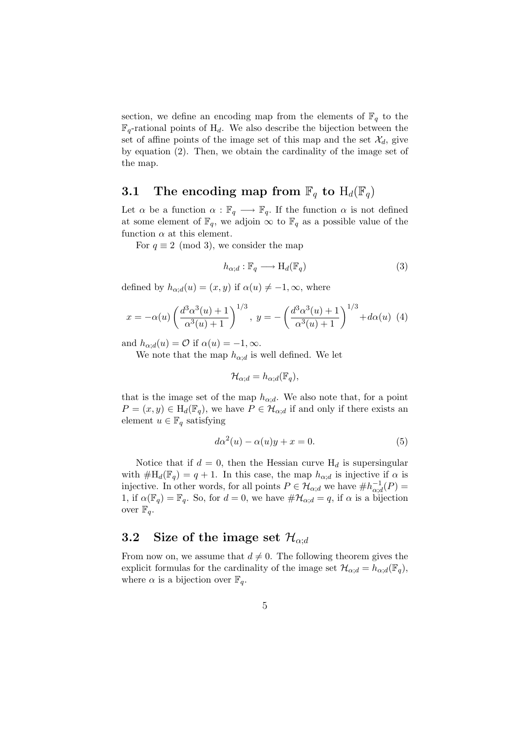section, we define an encoding map from the elements of  $\mathbb{F}_q$  to the  $\mathbb{F}_q$ -rational points of H<sub>d</sub>. We also describe the bijection between the set of affine points of the image set of this map and the set  $\mathcal{X}_d$ , give by equation (2). Then, we obtain the cardinality of the image set of the map.

### 3.1 The encoding map from  $\mathbb{F}_q$  to  $H_d(\mathbb{F}_q)$

Let  $\alpha$  be a function  $\alpha : \mathbb{F}_q \longrightarrow \mathbb{F}_q$ . If the function  $\alpha$  is not defined at some element of  $\mathbb{F}_q$ , we adjoin  $\infty$  to  $\mathbb{F}_q$  as a possible value of the function  $\alpha$  at this element.

For  $q \equiv 2 \pmod{3}$ , we consider the map

$$
h_{\alpha;d}: \mathbb{F}_q \longrightarrow \mathrm{H}_d(\mathbb{F}_q) \tag{3}
$$

defined by  $h_{\alpha;d}(u) = (x, y)$  if  $\alpha(u) \neq -1, \infty$ , where

$$
x = -\alpha(u) \left( \frac{d^3 \alpha^3(u) + 1}{\alpha^3(u) + 1} \right)^{1/3}, \ y = -\left( \frac{d^3 \alpha^3(u) + 1}{\alpha^3(u) + 1} \right)^{1/3} + d\alpha(u) \tag{4}
$$

and  $h_{\alpha;d}(u) = \mathcal{O}$  if  $\alpha(u) = -1, \infty$ .

We note that the map  $h_{\alpha;d}$  is well defined. We let

$$
\mathcal{H}_{\alpha;d} = h_{\alpha;d}(\mathbb{F}_q),
$$

that is the image set of the map  $h_{\alpha;d}$ . We also note that, for a point  $P = (x, y) \in H_d(\mathbb{F}_q)$ , we have  $P \in \mathcal{H}_{\alpha,d}$  if and only if there exists an element  $u \in \mathbb{F}_q$  satisfying

$$
d\alpha^2(u) - \alpha(u)y + x = 0.
$$
 (5)

Notice that if  $d = 0$ , then the Hessian curve  $H_d$  is supersingular with  $\#H_d(\mathbb{F}_q) = q + 1$ . In this case, the map  $h_{\alpha;d}$  is injective if  $\alpha$  is injective. In other words, for all points  $P \in \mathcal{H}_{\alpha,d}$  we have  $\#h_{\alpha,d}^{-1}$  $\overline{\alpha}^{\scriptscriptstyle -1}_{\alpha;d}(P) =$ 1, if  $\alpha(\mathbb{F}_q) = \mathbb{F}_q$ . So, for  $d = 0$ , we have  $\#\mathcal{H}_{\alpha;d} = q$ , if  $\alpha$  is a bijection over  $\mathbb{F}_q$ .

#### 3.2 Size of the image set  $\mathcal{H}_{\alpha;d}$

From now on, we assume that  $d \neq 0$ . The following theorem gives the explicit formulas for the cardinality of the image set  $\mathcal{H}_{\alpha;d} = h_{\alpha;d}(\mathbb{F}_q)$ , where  $\alpha$  is a bijection over  $\mathbb{F}_q$ .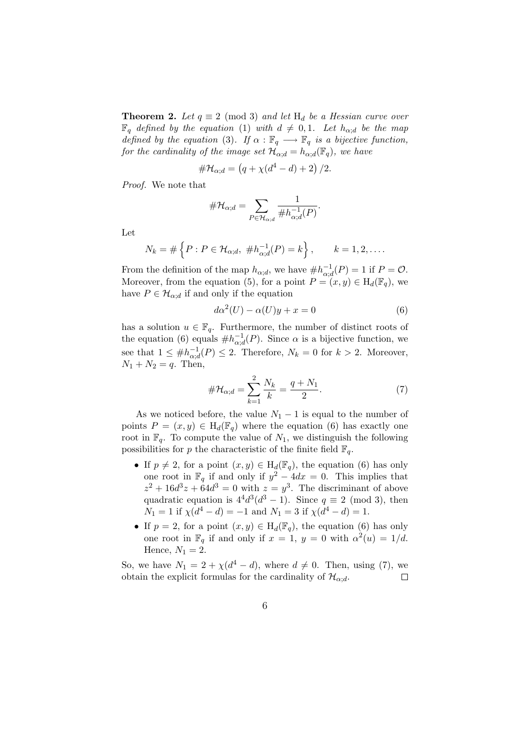**Theorem 2.** Let  $q \equiv 2 \pmod{3}$  and let  $H_d$  be a Hessian curve over  $\mathbb{F}_q$  defined by the equation (1) with  $d \neq 0, 1$ . Let  $h_{\alpha;d}$  be the map defined by the equation (3). If  $\alpha : \mathbb{F}_q \longrightarrow \mathbb{F}_q$  is a bijective function, for the cardinality of the image set  $\mathcal{H}_{\alpha,d} = h_{\alpha,d}(\mathbb{F}_q)$ , we have

$$
\#\mathcal{H}_{\alpha;d} = (q + \chi(d^4 - d) + 2) / 2.
$$

Proof. We note that

$$
\#\mathcal{H}_{\alpha;d} = \sum_{P \in \mathcal{H}_{\alpha;d}} \frac{1}{\#h_{\alpha;d}^{-1}(P)}.
$$

Let

$$
N_k = \# \left\{ P : P \in \mathcal{H}_{\alpha;d}, \#h_{\alpha;d}^{-1}(P) = k \right\}, \qquad k = 1, 2, \dots
$$

From the definition of the map  $h_{\alpha;d}$ , we have  $\#h^{-1}_{\alpha;d}$  $\overline{C}_{\alpha;d}^{-1}(P) = 1$  if  $P = \mathcal{O}.$ Moreover, from the equation (5), for a point  $P = (x, y) \in H_d(\mathbb{F}_q)$ , we have  $P \in \mathcal{H}_{\alpha;d}$  if and only if the equation

$$
d\alpha^{2}(U) - \alpha(U)y + x = 0 \tag{6}
$$

has a solution  $u \in \mathbb{F}_q$ . Furthermore, the number of distinct roots of the equation (6) equals  $\#h^{-1}_{\alpha,\alpha}$  $\overline{\alpha}_{\alpha,d}^{-1}(P)$ . Since  $\alpha$  is a bijective function, we see that  $1 \leq \#h^{-1}_{\alpha,c}$  $\frac{-1}{\alpha; d}(P) \leq 2$ . Therefore,  $N_k = 0$  for  $k > 2$ . Moreover,  $N_1 + N_2 = q$ . Then,

$$
\#\mathcal{H}_{\alpha,d} = \sum_{k=1}^{2} \frac{N_k}{k} = \frac{q+N_1}{2}.
$$
 (7)

As we noticed before, the value  $N_1 - 1$  is equal to the number of points  $P = (x, y) \in H_d(\mathbb{F}_q)$  where the equation (6) has exactly one root in  $\mathbb{F}_q$ . To compute the value of  $N_1$ , we distinguish the following possibilities for p the characteristic of the finite field  $\mathbb{F}_q$ .

- If  $p \neq 2$ , for a point  $(x, y) \in H_d(\mathbb{F}_q)$ , the equation (6) has only one root in  $\mathbb{F}_q$  if and only if  $y^2 - 4dx = 0$ . This implies that  $z^2 + 16d^3z + 64d^3 = 0$  with  $z = y^3$ . The discriminant of above quadratic equation is  $4^4 d^3 (d^3 - 1)$ . Since  $q \equiv 2 \pmod{3}$ , then  $N_1 = 1$  if  $\chi(d^4 - d) = -1$  and  $N_1 = 3$  if  $\chi(d^4 - d) = 1$ .
- If  $p = 2$ , for a point  $(x, y) \in H_d(\mathbb{F}_q)$ , the equation (6) has only one root in  $\mathbb{F}_q$  if and only if  $x = 1$ ,  $y = 0$  with  $\alpha^2(u) = 1/d$ . Hence,  $N_1 = 2$ .

So, we have  $N_1 = 2 + \chi(d^4 - d)$ , where  $d \neq 0$ . Then, using (7), we obtain the explicit formulas for the cardinality of  $\mathcal{H}_{\alpha,d}$ . П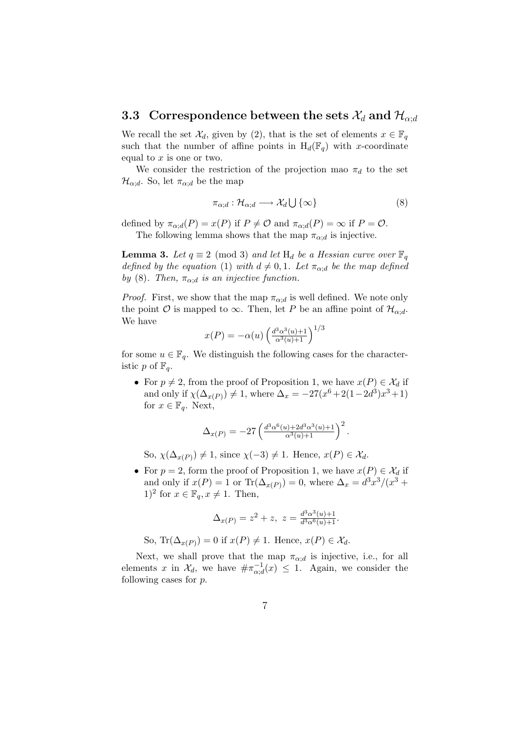#### 3.3 Correspondence between the sets  $\mathcal{X}_d$  and  $\mathcal{H}_{\alpha;d}$

We recall the set  $\mathcal{X}_d$ , given by (2), that is the set of elements  $x \in \mathbb{F}_q$ such that the number of affine points in  $H_d(\mathbb{F}_q)$  with x-coordinate equal to  $x$  is one or two.

We consider the restriction of the projection mao  $\pi_d$  to the set  $\mathcal{H}_{\alpha;d}$ . So, let  $\pi_{\alpha;d}$  be the map

$$
\pi_{\alpha;d}: \mathcal{H}_{\alpha;d} \longrightarrow \mathcal{X}_d \bigcup \{\infty\} \tag{8}
$$

defined by  $\pi_{\alpha;d}(P) = x(P)$  if  $P \neq \mathcal{O}$  and  $\pi_{\alpha;d}(P) = \infty$  if  $P = \mathcal{O}$ . The following lemma shows that the map  $\pi_{\alpha;d}$  is injective.

**Lemma 3.** Let  $q \equiv 2 \pmod{3}$  and let  $H_d$  be a Hessian curve over  $\mathbb{F}_q$ defined by the equation (1) with  $d \neq 0, 1$ . Let  $\pi_{\alpha;d}$  be the map defined by (8). Then,  $\pi_{\alpha;d}$  is an injective function.

*Proof.* First, we show that the map  $\pi_{\alpha:d}$  is well defined. We note only the point  $\mathcal O$  is mapped to  $\infty$ . Then, let P be an affine point of  $\mathcal H_{\alpha;d}$ . We have

$$
x(P) = -\alpha(u) \left( \frac{d^3 \alpha^3(u) + 1}{\alpha^3(u) + 1} \right)^{1/3}
$$

for some  $u \in \mathbb{F}_q$ . We distinguish the following cases for the characteristic p of  $\mathbb{F}_q$ .

• For  $p \neq 2$ , from the proof of Proposition 1, we have  $x(P) \in \mathcal{X}_d$  if and only if  $\chi(\Delta_{x(P)}) \neq 1$ , where  $\Delta_x = -27(x^6 + 2(1 - 2d^3)x^3 + 1)$ for  $x \in \mathbb{F}_q$ . Next,

$$
\Delta_{x(P)} = -27 \left( \frac{d^3 \alpha^6(u) + 2d^3 \alpha^3(u) + 1}{\alpha^3(u) + 1} \right)^2.
$$

So,  $\chi(\Delta_{x(P)}) \neq 1$ , since  $\chi(-3) \neq 1$ . Hence,  $x(P) \in \mathcal{X}_d$ .

• For  $p = 2$ , form the proof of Proposition 1, we have  $x(P) \in \mathcal{X}_d$  if and only if  $x(P) = 1$  or  $\text{Tr}(\Delta_{x(P)}) = 0$ , where  $\Delta_x = d^3x^3/(x^3 +$ 1)<sup>2</sup> for  $x \in \mathbb{F}_q$ ,  $x \neq 1$ . Then,

$$
\Delta_{x(P)} = z^2 + z, \ z = \frac{d^3 \alpha^3(u) + 1}{d^3 \alpha^6(u) + 1}.
$$

So, Tr( $\Delta_{x(P)}$ ) = 0 if  $x(P) \neq 1$ . Hence,  $x(P) \in \mathcal{X}_d$ .

Next, we shall prove that the map  $\pi_{\alpha:d}$  is injective, i.e., for all elements x in  $\mathcal{X}_d$ , we have  $\#\pi_{\alpha; \alpha}^{-1}$  $\alpha_{\alpha,d}^{-1}(x) \leq 1$ . Again, we consider the following cases for p.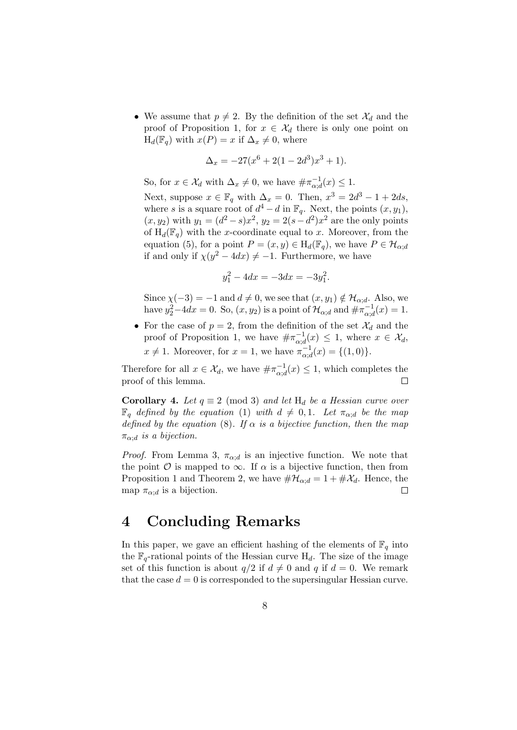• We assume that  $p \neq 2$ . By the definition of the set  $\mathcal{X}_d$  and the proof of Proposition 1, for  $x \in \mathcal{X}_d$  there is only one point on  $H_d(\mathbb{F}_q)$  with  $x(P) = x$  if  $\Delta_x \neq 0$ , where

$$
\Delta_x = -27(x^6 + 2(1 - 2d^3)x^3 + 1).
$$

So, for  $x \in \mathcal{X}_d$  with  $\Delta_x \neq 0$ , we have  $\#\pi_{\alpha,\alpha}^{-1}$  $\overline{\alpha}^{\scriptscriptstyle -1}_{\alpha; d}(x) \leq 1.$ 

Next, suppose  $x \in \mathbb{F}_q$  with  $\Delta_x = 0$ . Then,  $x^3 = 2d^3 - 1 + 2ds$ , where s is a square root of  $d^4 - d$  in  $\mathbb{F}_q$ . Next, the points  $(x, y_1)$ ,  $(x, y_2)$  with  $y_1 = (d^2 - s)x^2$ ,  $y_2 = 2(s - d^2)x^2$  are the only points of  $H_d(\mathbb{F}_q)$  with the x-coordinate equal to x. Moreover, from the equation (5), for a point  $P = (x, y) \in H_d(\mathbb{F}_q)$ , we have  $P \in \mathcal{H}_{\alpha:d}$ if and only if  $\chi(y^2 - 4dx) \neq -1$ . Furthermore, we have

$$
y_1^2 - 4dx = -3dx = -3y_1^2.
$$

Since  $\chi(-3) = -1$  and  $d \neq 0$ , we see that  $(x, y_1) \notin \mathcal{H}_{\alpha; d}$ . Also, we have  $y_2^2-4dx = 0$ . So,  $(x, y_2)$  is a point of  $\mathcal{H}_{\alpha;d}$  and  $\#\pi_{\alpha;\alpha}^{-1}$  $\bar{a}^{-1}_{\alpha;d}(x) = 1.$ 

• For the case of  $p = 2$ , from the definition of the set  $\mathcal{X}_d$  and the proof of Proposition 1, we have  $\#\pi_{\alpha,c}^{-1}$  $\overline{\alpha}_{\alpha;d}^{-1}(x) \leq 1$ , where  $x \in \mathcal{X}_d$ ,  $x \neq 1$ . Moreover, for  $x = 1$ , we have  $\pi_{\alpha, \alpha}^{-1}$  $\overline{a}_{\alpha;d}^{-1}(x) = \{(1,0)\}.$ 

Therefore for all  $x \in \mathcal{X}_d$ , we have  $\#\pi_{\alpha:d}^{-1}$  $\overline{\alpha}_{\alpha,d}^{-1}(x) \leq 1$ , which completes the proof of this lemma.  $\Box$ 

**Corollary 4.** Let  $q \equiv 2 \pmod{3}$  and let  $H_d$  be a Hessian curve over  $\mathbb{F}_q$  defined by the equation (1) with  $d \neq 0, 1$ . Let  $\pi_{\alpha:d}$  be the map defined by the equation (8). If  $\alpha$  is a bijective function, then the map  $\pi_{\alpha,d}$  is a bijection.

*Proof.* From Lemma 3,  $\pi_{\alpha:d}$  is an injective function. We note that the point  $\mathcal O$  is mapped to  $\infty$ . If  $\alpha$  is a bijective function, then from Proposition 1 and Theorem 2, we have  $\#\mathcal{H}_{\alpha;d} = 1 + \#\mathcal{X}_d$ . Hence, the map  $\pi_{\alpha:d}$  is a bijection.  $\Box$ 

### 4 Concluding Remarks

In this paper, we gave an efficient hashing of the elements of  $\mathbb{F}_q$  into the  $\mathbb{F}_q$ -rational points of the Hessian curve  $H_d$ . The size of the image set of this function is about  $q/2$  if  $d \neq 0$  and q if  $d = 0$ . We remark that the case  $d = 0$  is corresponded to the supersingular Hessian curve.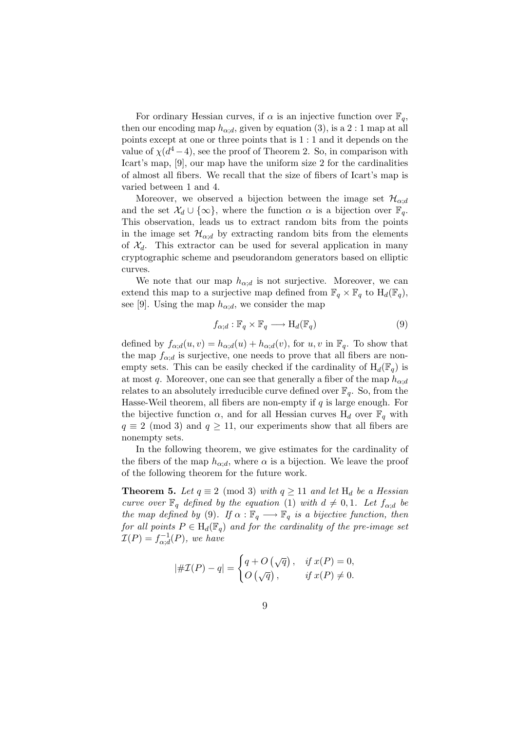For ordinary Hessian curves, if  $\alpha$  is an injective function over  $\mathbb{F}_q$ , then our encoding map  $h_{\alpha;d}$ , given by equation (3), is a 2 : 1 map at all points except at one or three points that is 1 : 1 and it depends on the value of  $\chi(d^4-4)$ , see the proof of Theorem 2. So, in comparison with Icart's map, [9], our map have the uniform size 2 for the cardinalities of almost all fibers. We recall that the size of fibers of Icart's map is varied between 1 and 4.

Moreover, we observed a bijection between the image set  $\mathcal{H}_{\alpha;d}$ and the set  $\mathcal{X}_d \cup \{\infty\}$ , where the function  $\alpha$  is a bijection over  $\mathbb{F}_q$ . This observation, leads us to extract random bits from the points in the image set  $\mathcal{H}_{\alpha;d}$  by extracting random bits from the elements of  $\mathcal{X}_d$ . This extractor can be used for several application in many cryptographic scheme and pseudorandom generators based on elliptic curves.

We note that our map  $h_{\alpha;d}$  is not surjective. Moreover, we can extend this map to a surjective map defined from  $\mathbb{F}_q \times \mathbb{F}_q$  to  $H_d(\mathbb{F}_q)$ , see [9]. Using the map  $h_{\alpha;d}$ , we consider the map

$$
f_{\alpha;d} : \mathbb{F}_q \times \mathbb{F}_q \longrightarrow \mathrm{H}_d(\mathbb{F}_q)
$$
\n
$$
(9)
$$

defined by  $f_{\alpha;d}(u, v) = h_{\alpha;d}(u) + h_{\alpha;d}(v)$ , for  $u, v$  in  $\mathbb{F}_q$ . To show that the map  $f_{\alpha;d}$  is surjective, one needs to prove that all fibers are nonempty sets. This can be easily checked if the cardinality of  $H_d(\mathbb{F}_q)$  is at most q. Moreover, one can see that generally a fiber of the map  $h_{\alpha,d}$ relates to an absolutely irreducible curve defined over  $\mathbb{F}_q$ . So, from the Hasse-Weil theorem, all fibers are non-empty if  $q$  is large enough. For the bijective function  $\alpha$ , and for all Hessian curves  $H_d$  over  $\mathbb{F}_q$  with  $q \equiv 2 \pmod{3}$  and  $q \ge 11$ , our experiments show that all fibers are nonempty sets.

In the following theorem, we give estimates for the cardinality of the fibers of the map  $h_{\alpha,d}$ , where  $\alpha$  is a bijection. We leave the proof of the following theorem for the future work.

**Theorem 5.** Let  $q \equiv 2 \pmod{3}$  with  $q \ge 11$  and let  $H_d$  be a Hessian curve over  $\mathbb{F}_q$  defined by the equation (1) with  $d \neq 0, 1$ . Let  $f_{\alpha;d}$  be the map defined by (9). If  $\alpha : \mathbb{F}_q \longrightarrow \mathbb{F}_q$  is a bijective function, then for all points  $P \in H_d(\mathbb{F}_q)$  and for the cardinality of the pre-image set  $\mathcal{I}(P) = f_{\alpha d}^{-1}$  $\mathcal{C}_{\alpha;d}^{-1}(P)$ , we have

$$
|\#\mathcal{I}(P) - q| = \begin{cases} q + O\left(\sqrt{q}\right), & \text{if } x(P) = 0, \\ O\left(\sqrt{q}\right), & \text{if } x(P) \neq 0. \end{cases}
$$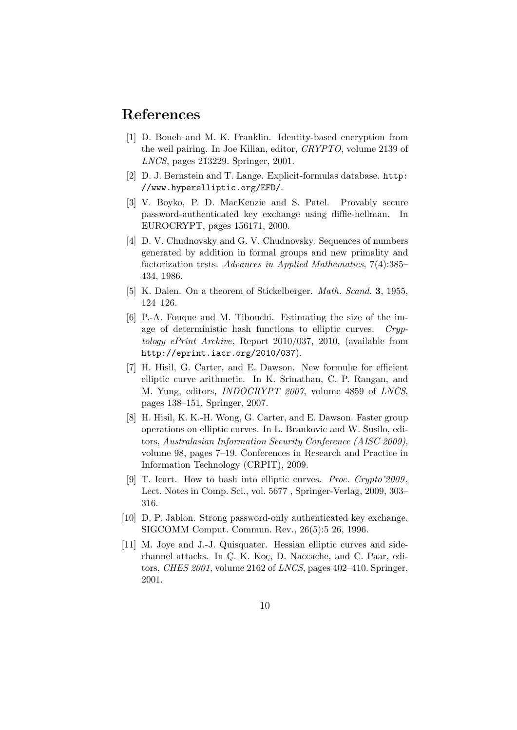## References

- [1] D. Boneh and M. K. Franklin. Identity-based encryption from the weil pairing. In Joe Kilian, editor, CRYPTO, volume 2139 of LNCS, pages 213229. Springer, 2001.
- [2] D. J. Bernstein and T. Lange. Explicit-formulas database. http: //www.hyperelliptic.org/EFD/.
- [3] V. Boyko, P. D. MacKenzie and S. Patel. Provably secure password-authenticated key exchange using diffie-hellman. In EUROCRYPT, pages 156171, 2000.
- [4] D. V. Chudnovsky and G. V. Chudnovsky. Sequences of numbers generated by addition in formal groups and new primality and factorization tests. Advances in Applied Mathematics, 7(4):385– 434, 1986.
- [5] K. Dalen. On a theorem of Stickelberger. Math. Scand. 3, 1955, 124–126.
- [6] P.-A. Fouque and M. Tibouchi. Estimating the size of the image of deterministic hash functions to elliptic curves. Cryptology ePrint Archive, Report 2010/037, 2010, (available from http://eprint.iacr.org/2010/037).
- [7] H. Hisil, G. Carter, and E. Dawson. New formulæ for efficient elliptic curve arithmetic. In K. Srinathan, C. P. Rangan, and M. Yung, editors, INDOCRYPT 2007, volume 4859 of LNCS, pages 138–151. Springer, 2007.
- [8] H. Hisil, K. K.-H. Wong, G. Carter, and E. Dawson. Faster group operations on elliptic curves. In L. Brankovic and W. Susilo, editors, Australasian Information Security Conference (AISC 2009), volume 98, pages 7–19. Conferences in Research and Practice in Information Technology (CRPIT), 2009.
- [9] T. Icart. How to hash into elliptic curves. Proc. Crypto'2009, Lect. Notes in Comp. Sci., vol. 5677 , Springer-Verlag, 2009, 303– 316.
- [10] D. P. Jablon. Strong password-only authenticated key exchange. SIGCOMM Comput. Commun. Rev., 26(5):5 26, 1996.
- [11] M. Joye and J.-J. Quisquater. Hessian elliptic curves and sidechannel attacks. In C, K, Koç, D, Naccache, and C, Paar, editors, CHES 2001, volume 2162 of LNCS, pages 402–410. Springer, 2001.